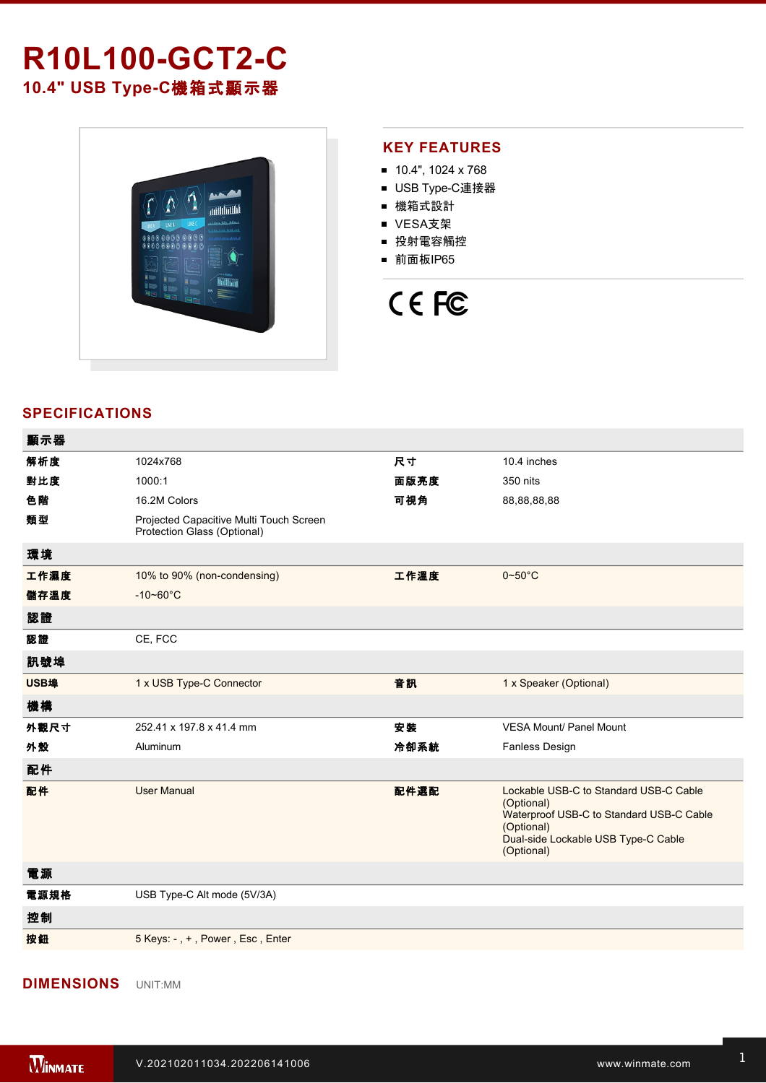## **R10L100-GCT2-C 10.4" USB TypeC**機箱式顯示器



## **KEY FEATURES**

- 10.4", 1024 x 768
- USB Type-C連接器
- 機箱式設計
- VESA支架
- 投射電容觸控
- 前面板IP65



## **SPECIFICATIONS**

顯示器

| 顯示器  |                                                                        |      |                                                                                                                                                                     |
|------|------------------------------------------------------------------------|------|---------------------------------------------------------------------------------------------------------------------------------------------------------------------|
| 解析度  | 1024x768                                                               | 尺寸   | 10.4 inches                                                                                                                                                         |
| 對比度  | 1000:1                                                                 | 面版亮度 | 350 nits                                                                                                                                                            |
| 色階   | 16.2M Colors                                                           | 可視角  | 88,88,88,88                                                                                                                                                         |
| 類型   | Projected Capacitive Multi Touch Screen<br>Protection Glass (Optional) |      |                                                                                                                                                                     |
| 環境   |                                                                        |      |                                                                                                                                                                     |
| 工作濕度 | 10% to 90% (non-condensing)                                            | 工作溫度 | $0 - 50^{\circ}$ C                                                                                                                                                  |
| 儲存溫度 | $-10 - 60^{\circ}$ C                                                   |      |                                                                                                                                                                     |
| 認證   |                                                                        |      |                                                                                                                                                                     |
| 認證   | CE, FCC                                                                |      |                                                                                                                                                                     |
| 訊號埠  |                                                                        |      |                                                                                                                                                                     |
| USB埠 | 1 x USB Type-C Connector                                               | 音訊   | 1 x Speaker (Optional)                                                                                                                                              |
| 機構   |                                                                        |      |                                                                                                                                                                     |
| 外觀尺寸 | 252.41 x 197.8 x 41.4 mm                                               | 安装   | <b>VESA Mount/ Panel Mount</b>                                                                                                                                      |
| 外殼   | Aluminum                                                               | 冷卻系統 | Fanless Design                                                                                                                                                      |
| 配件   |                                                                        |      |                                                                                                                                                                     |
| 配件   | <b>User Manual</b>                                                     | 配件選配 | Lockable USB-C to Standard USB-C Cable<br>(Optional)<br>Waterproof USB-C to Standard USB-C Cable<br>(Optional)<br>Dual-side Lockable USB Type-C Cable<br>(Optional) |
| 電源   |                                                                        |      |                                                                                                                                                                     |
| 電源規格 | USB Type-C Alt mode (5V/3A)                                            |      |                                                                                                                                                                     |
| 控制   |                                                                        |      |                                                                                                                                                                     |
| 按鈕   | 5 Keys: -, +, Power, Esc, Enter                                        |      |                                                                                                                                                                     |

**DIMENSIONS**  UNIT:MM